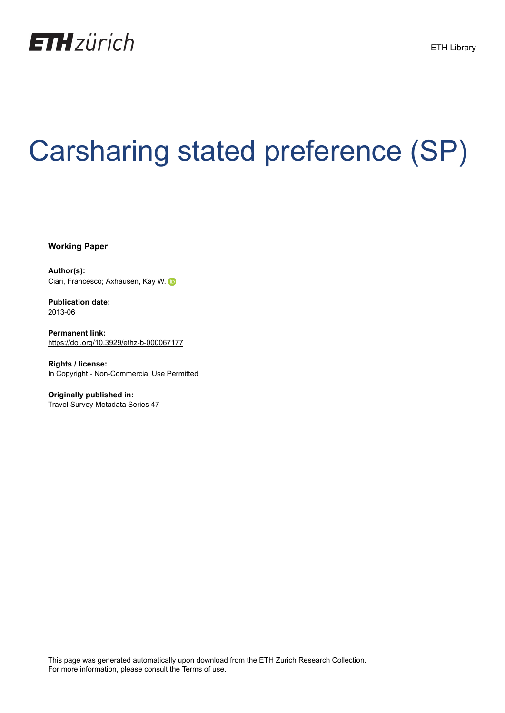

# Carsharing stated preference (SP)

**Working Paper**

**Author(s):** Ciari, Francesco; [Axhausen, Kay W.](https://orcid.org/0000-0003-3331-1318)

**Publication date:** 2013-06

**Permanent link:** <https://doi.org/10.3929/ethz-b-000067177>

**Rights / license:** [In Copyright - Non-Commercial Use Permitted](http://rightsstatements.org/page/InC-NC/1.0/)

**Originally published in:** Travel Survey Metadata Series 47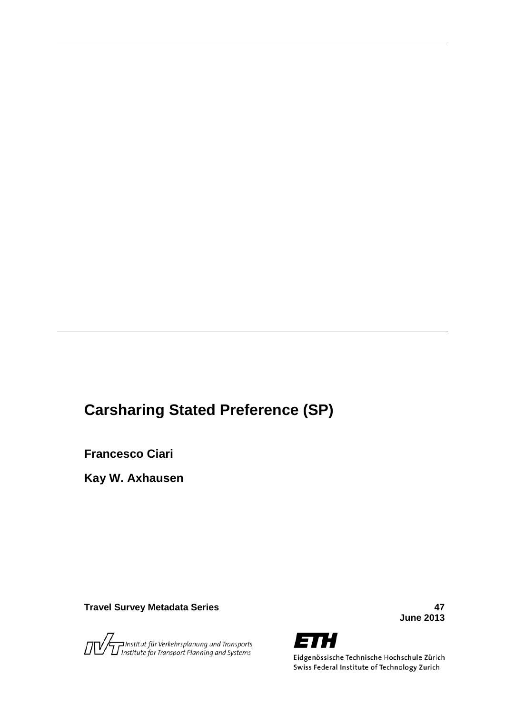## **Carsharing Stated Preference (SP)**

**Francesco Ciari**

**Kay W. Axhausen**

**Travel Survey Metadata Series 47**

.<br>T Institut für Verkehrsplanung und Transports.<br>T Institute for Transport Planning and Systems

**June 2013**



Eidgenössische Technische Hochschule Zürich Swiss Federal Institute of Technology Zurich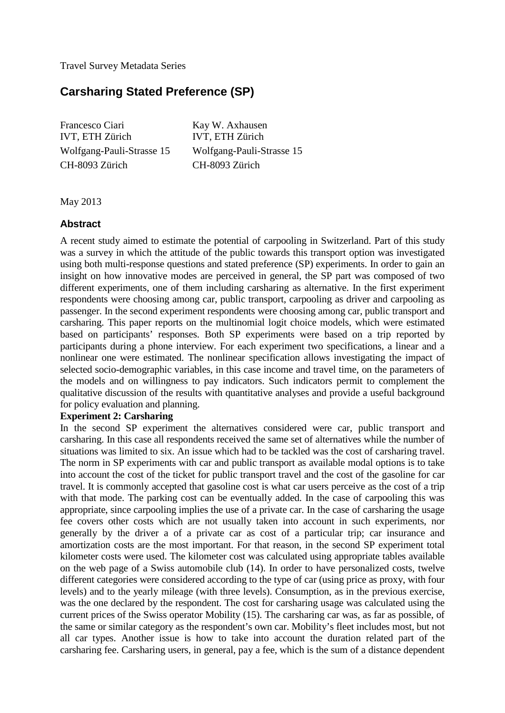Travel Survey Metadata Series

### **Carsharing Stated Preference (SP)**

Francesco Ciari IVT, ETH Zürich Wolfgang-Pauli-Strasse 15 CH-8093 Zürich

Kay W. Axhausen IVT, ETH Zürich Wolfgang-Pauli-Strasse 15 CH-8093 Zürich

May 2013

#### **Abstract**

<span id="page-2-0"></span>A recent study aimed to estimate the potential of carpooling in Switzerland. Part of this study was a survey in which the attitude of the public towards this transport option was investigated using both multi-response questions and stated preference (SP) experiments. In order to gain an insight on how innovative modes are perceived in general, the SP part was composed of two different experiments, one of them including carsharing as alternative. In the first experiment respondents were choosing among car, public transport, carpooling as driver and carpooling as passenger. In the second experiment respondents were choosing among car, public transport and carsharing. This paper reports on the multinomial logit choice models, which were estimated based on participants' responses. Both SP experiments were based on a trip reported by participants during a phone interview. For each experiment two specifications, a linear and a nonlinear one were estimated. The nonlinear specification allows investigating the impact of selected socio-demographic variables, in this case income and travel time, on the parameters of the models and on willingness to pay indicators. Such indicators permit to complement the qualitative discussion of the results with quantitative analyses and provide a useful background for policy evaluation and planning.

#### **Experiment 2: Carsharing**

<span id="page-2-2"></span><span id="page-2-1"></span>In the second SP experiment the alternatives considered were car, public transport and carsharing. In this case all respondents received the same set of alternatives while the number of situations was limited to six. An issue which had to be tackled was the cost of carsharing travel. The norm in SP experiments with car and public transport as available modal options is to take into account the cost of the ticket for public transport travel and the cost of the gasoline for car travel. It is commonly accepted that gasoline cost is what car users perceive as the cost of a trip with that mode. The parking cost can be eventually added. In the case of carpooling this was appropriate, since carpooling implies the use of a private car. In the case of carsharing the usage fee covers other costs which are not usually taken into account in such experiments, nor generally by the driver a of a private car as cost of a particular trip; car insurance and amortization costs are the most important. For that reason, in the second SP experiment total kilometer costs were used. The kilometer cost was calculated using appropriate tables available on the web page of a Swiss automobile club (14). In order to have personalized costs, twelve different categories were considered according to the type of car (using price as proxy, with four levels) and to the yearly mileage (with three levels). Consumption, as in the previous exercise, was the one declared by the respondent. The cost for carsharing usage was calculated using the current prices of the Swiss operator Mobility (15). The carsharing car was, as far as possible, of the same or similar category as the respondent's own car. Mobility's fleet includes most, but not all car types. Another issue is how to take into account the duration related part of the carsharing fee. Carsharing users, in general, pay a fee, which is the sum of a distance dependent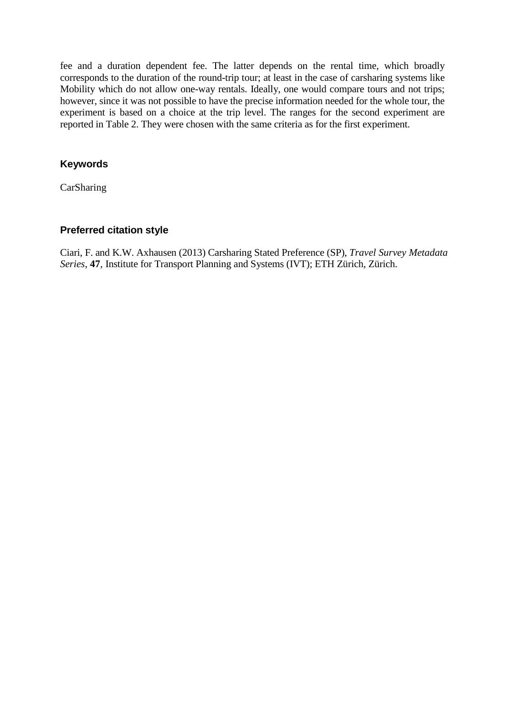fee and a duration dependent fee. The latter depends on the rental time, which broadly corresponds to the duration of the round-trip tour; at least in the case of carsharing systems like Mobility which do not allow one-way rentals. Ideally, one would compare tours and not trips; however, since it was not possible to have the precise information needed for the whole tour, the experiment is based on a choice at the trip level. The ranges for the second experiment are reported in Table 2. They were chosen with the same criteria as for the first experiment.

#### <span id="page-3-0"></span>**Keywords**

CarSharing

#### **Preferred citation style**

<span id="page-3-3"></span><span id="page-3-2"></span><span id="page-3-1"></span>Ciari, F. and K.W. Axhausen (2013) Carsharing Stated Preference (SP), *Travel Survey Metadata Series*, **47**, Institute for Transport Planning and Systems (IVT); ETH Zürich, Zürich.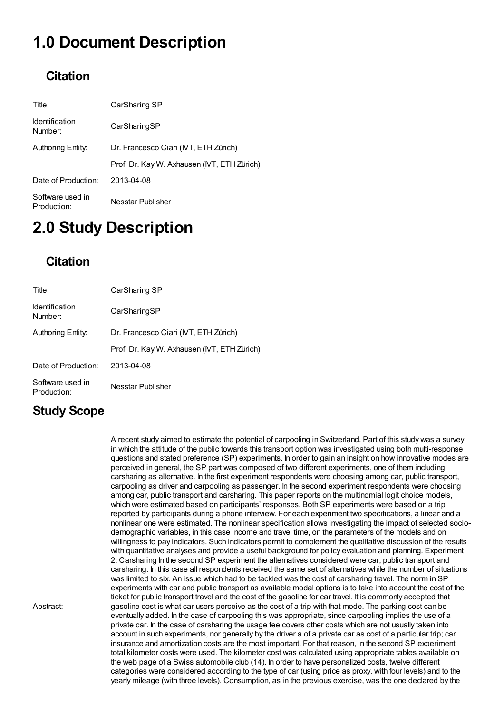# 1.0 Document Description

### **Citation**

<span id="page-4-0"></span>

| Title:                           | CarSharing SP                              |  |
|----------------------------------|--------------------------------------------|--|
| <b>Identification</b><br>Number: | CarSharingSP                               |  |
| Authoring Entity:                | Dr. Francesco Ciari (IVT, ETH Zürich)      |  |
|                                  | Prof. Dr. Kay W. Axhausen (NT, ETH Zürich) |  |
| Date of Production:              | 2013-04-08                                 |  |
| Software used in<br>Production:  | Nesstar Publisher                          |  |

# 2.0 Study Description

### **Citation**

<span id="page-4-1"></span>

| Title:                           | CarSharing SP                              |  |
|----------------------------------|--------------------------------------------|--|
| <b>Identification</b><br>Number: | CarSharingSP                               |  |
| Authoring Entity:                | Dr. Francesco Ciari (IVT, ETH Zürich)      |  |
|                                  | Prof. Dr. Kay W. Axhausen (NT, ETH Zürich) |  |
| Date of Production:              | 2013-04-08                                 |  |
| Software used in<br>Production:  | Nesstar Publisher                          |  |

### <span id="page-4-2"></span>Study Scope

<span id="page-4-3"></span>Abstract:

A recent study aimed to estimate the potential of carpooling in Switzerland. Part of this study was a survey in which the attitude of the public towards this transport option was investigated using both multi-response questions and stated preference (SP) experiments. In order to gain an insight on how innovative modes are perceived in general, the SP part was composed of two different experiments, one of them including carsharing as alternative. In the first experiment respondents were choosing among car, public transport, carpooling as driver and carpooling as passenger. In the second experiment respondents were choosing among car, public transport and carsharing. This paper reports on the multinomial logit choice models, which were estimated based on participants' responses. Both SP experiments were based on a trip reported by participants during a phone interview. For each experiment two specifications, a linear and a nonlinear one were estimated. The nonlinear specification allows investigating the impact of selected sociodemographic variables, in this case income and travel time, on the parameters of the models and on willingness to pay indicators. Such indicators permit to complement the qualitative discussion of the results with quantitative analyses and provide a useful background for policy evaluation and planning. Experiment 2: Carsharing In the second SP experiment the alternatives considered were car, public transport and carsharing. In this case all respondents received the same set of alternatives while the number of situations was limited to six. An issue which had to be tackled was the cost of carsharing travel. The norm in SP experiments with car and public transport as available modal options is to take into account the cost of the ticket for public transport travel and the cost of the gasoline for car travel. It is commonly accepted that gasoline cost is what car users perceive as the cost of a trip with that mode. The parking cost can be eventually added. In the case of carpooling this was appropriate, since carpooling implies the use of a private car. In the case of carsharing the usage fee covers other costs which are not usually taken into account in such experiments, nor generally by the driver a of a private car as cost of a particular trip; car insurance and amortization costs are the most important. For that reason, in the second SP experiment total kilometer costs were used. The kilometer cost was calculated using appropriate tables available on the web page of a Swiss automobile club (14). In order to have personalized costs, twelve different categories were considered according to the type of car (using price as proxy, with four levels) and to the yearly mileage (with three levels). Consumption, as in the previous exercise, was the one declared by the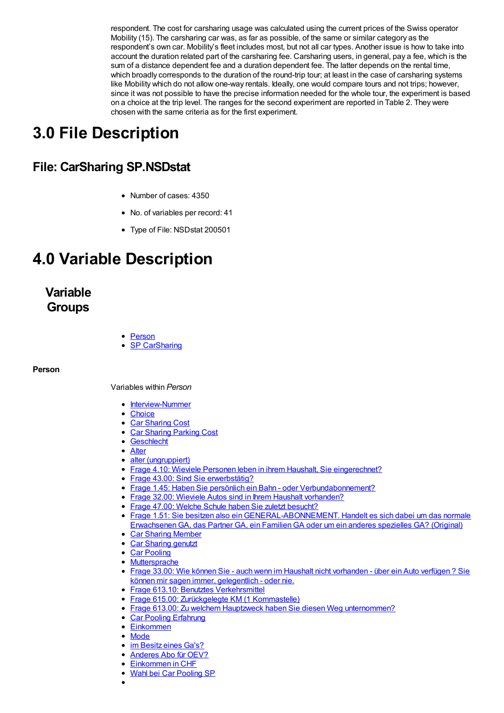respondent. The cost for carsharing usage was calculated using the current prices of the Swiss operator Mobility (15). The carsharing car was, as far as possible, of the same or similar category as the respondent's own car. Mobility's fleet includes most, but not all car types. Another issue is how to take into account the duration related part of the carsharing fee. Carsharing users, in general, pay a fee, which is the sum of a distance dependent fee and a duration dependent fee. The latter depends on the rental time, which broadly corresponds to the duration of the round-trip tour; at least in the case of carsharing systems like Mobility which do not allow one-way rentals. Ideally, one would compare tours and not trips; however, since it was not possible to have the precise information needed for the whole tour, the experiment is based on a choice at the trip level. The ranges for the second experiment are reported in Table 2. They were chosen with the same criteria as for the first experiment.

# <span id="page-5-0"></span>3.0 File Description

### File: CarSharing SP.NSDstat

- Number of cases: 4350
- No. of variables per record: 41
- Type of File: NSDstat 200501

# <span id="page-5-1"></span>4.0 Variable Description

Variable **Groups** 

• [Person](VG1F1)

**SP [CarSharing](VG2F1)** 

#### <span id="page-5-2"></span>Person

Variables within Person

- [Interview-Nummer](#page-2-0)
- [Choice](#page-2-1)
- Car [Sharing](#page-2-2) Cost
- Car [Sharing](#page-3-0) Parking Cost
- [Geschlecht](#page-6-0)
- [Alter](#page-6-1)
- alter [\(ungruppiert\)](#page-7-0)
- Frage 4.10: Wieviele Personen leben in ihrem Haushalt, Sie [eingerechnet?](#page-7-1)
- Frage 43.00: Sind Sie [erwerbstätig?](#page-7-2)
- Frage 1.45: Haben Sie persönlich ein Bahn oder [Verbundabonnement?](#page-7-3)
- Frage 32.00: Wieviele Autos sind in Ihrem Haushalt [vorhanden?](#page-8-0)
- Frage 47.00: Welche Schule haben Sie zuletzt [besucht?](#page-8-1)
- <span id="page-5-3"></span>Frage 1.51: Sie besitzen also [einGENERAL-ABONNEMENT.](#page-8-2) Handelt es sich dabei um das normale ErwachsenenGA, das Partner GA, ein FamilienGA oder um ein anderes spezielles GA? (Original)
- Car Sharing [Member](#page-9-0)
- Car [Sharing](#page-9-1) genutzt
- Car [Pooling](#page-9-2)
- [Muttersprache](#page-9-3)
- Frage 33.00: Wie können Sie auch wenn im Haushalt nicht [vorhanden](#page-10-0) über ein Auto verfügen ? Sie können mir sagen immer, gelegentlich - oder nie.
- **Frage 613.10: Benutztes [Verkehrsmittel](#page-10-1)**
- Frage 615.00: [Zurückgelegte](#page-10-2) KM (1 Kommastelle)
- Frage 613.00: Zu welchem Hauptzweck haben Sie diesen Weg [unternommen?](#page-11-0)
- Car Pooling [Erfahrung](#page-11-1)
- **[Einkommen](#page-11-2)**  $\bullet$
- [Mode](#page-11-3)
- im [Besitz](#page-12-0) eines Ga's?
- [Anderes](#page-12-1) Abo für OEV?
- <span id="page-5-4"></span>[Einkommen](#page-12-2) in CHF
- Wahl bei Car [Pooling](#page-12-3) SP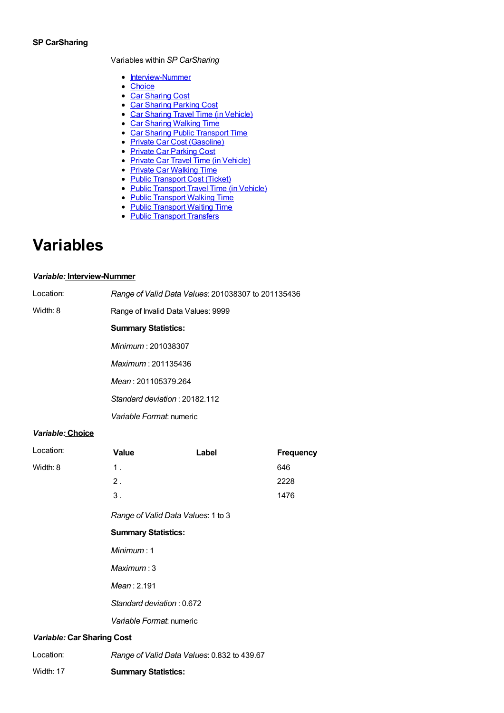#### SP CarSharing

Variables within SP CarSharing

- [Interview-Nummer](#page-2-0)
- [Choice](#page-2-1)
- Car [Sharing](#page-2-2) Cost
- Car [Sharing](#page-3-0) Parking Cost
- Car Sharing Travel Time (in [Vehicle\)](#page-3-1)
- Car Sharing [Walking](#page-3-2) Time
- Car Sharing Public [Transport](#page-3-3) Time
- Private Car Cost [\(Gasoline\)](#page-4-0)
- Private Car [Parking](#page-4-1) Cost
- Private Car Travel Time (in [Vehicle\)](#page-4-2)
- Private Car [Walking](#page-4-3) Time
- Public [Transport](#page-5-0) Cost (Ticket)
- Public [Transport](#page-5-1) Travel Time (in Vehicle)
- Public [Transport](#page-5-2) Walking Time
- Public [Transport](#page-5-3) Waiting Time
- Public [Transport](#page-5-4) Transfers

# Variables

#### Variable: Interview-Nummer

<span id="page-6-0"></span>

| Location:               | Range of Valid Data Values: 201038307 to 201135436 |  |  |
|-------------------------|----------------------------------------------------|--|--|
| Width: 8                | Range of Invalid Data Values: 9999                 |  |  |
|                         | <b>Summary Statistics:</b>                         |  |  |
|                         | Minimum: 201038307                                 |  |  |
|                         | Maximum: 201135436                                 |  |  |
|                         | Mean: 201105379.264                                |  |  |
|                         | Standard deviation: 20182.112                      |  |  |
|                         | Variable Format: numeric                           |  |  |
| <i>Maulah La Chaine</i> |                                                    |  |  |

#### Variable: Choice

<span id="page-6-1"></span>

| Location:                  | Value                                       | Label | <b>Frequency</b> |  |
|----------------------------|---------------------------------------------|-------|------------------|--|
| Width: 8                   | $1$ .                                       |       | 646              |  |
|                            | 2.                                          |       | 2228             |  |
|                            | $3$ .                                       |       | 1476             |  |
|                            | Range of Valid Data Values: 1 to 3          |       |                  |  |
|                            | <b>Summary Statistics:</b>                  |       |                  |  |
|                            | Minimum: 1                                  |       |                  |  |
|                            | Maximum:3                                   |       |                  |  |
|                            | Mean: 2.191                                 |       |                  |  |
|                            | Standard deviation: 0.672                   |       |                  |  |
|                            | Variable Format: numeric                    |       |                  |  |
| Variable: Car Sharing Cost |                                             |       |                  |  |
| Location:                  | Range of Valid Data Values: 0.832 to 439.67 |       |                  |  |

Width: 17 Summary Statistics: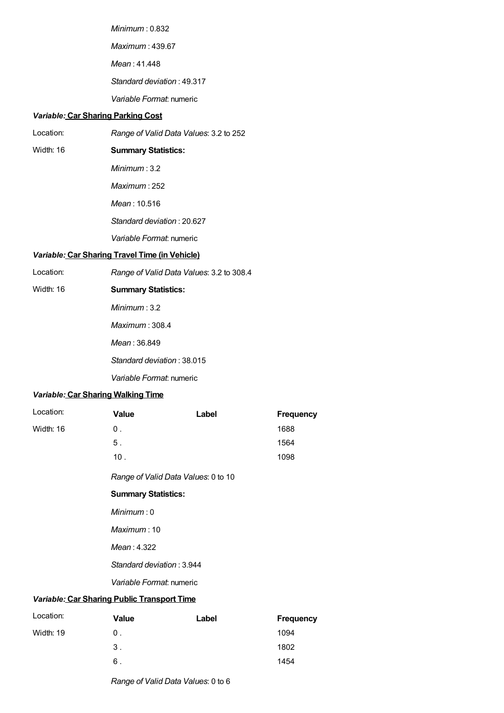Minimum : 0.832 Maximum : 439.67 Mean : 41.448 Standard deviation : 49.317 Variable Format: numeric

#### <span id="page-7-0"></span>Variable: Car Sharing Parking Cost

| Location: | Range of Valid Data Values: 3.2 to 252 |
|-----------|----------------------------------------|
|-----------|----------------------------------------|

Width: 16

Summary Statistics:

Minimum : 3.2

Maximum : 252

Mean : 10.516

Standard deviation : 20.627

#### Variable Format: numeric

#### <span id="page-7-1"></span>Variable: Car Sharing Travel Time (in Vehicle)

| Location: | Range of Valid Data Values: 3.2 to 308.4 |
|-----------|------------------------------------------|
|-----------|------------------------------------------|

Width: 16 Summary Statistics:

Minimum : 3.2

Maximum : 308.4

Mean : 36.849

Standard deviation : 38.015

Variable Format: numeric

#### Variable: Car Sharing Walking Time

<span id="page-7-2"></span>

| Location:                                   | <b>Value</b>                        | Label | <b>Frequency</b>           |
|---------------------------------------------|-------------------------------------|-------|----------------------------|
| Width: 16                                   | $0$ .                               |       | 1688                       |
|                                             | 5 <sub>1</sub>                      |       | 1564                       |
|                                             | 10.                                 |       | 1098                       |
|                                             | Range of Valid Data Values: 0 to 10 |       |                            |
|                                             | <b>Summary Statistics:</b>          |       |                            |
|                                             | Minimum:0                           |       |                            |
|                                             | Maximum:10                          |       |                            |
|                                             | Mean: 4.322                         |       |                            |
|                                             | Standard deviation: 3.944           |       |                            |
|                                             | Variable Format: numeric            |       |                            |
| Variable: Car Sharing Public Transport Time |                                     |       |                            |
| Location:                                   | <b>Value</b>                        | Label | Frequency                  |
| MLLL, AD                                    | $\sim$                              |       | $\lambda$ $\cap$ $\Lambda$ |

<span id="page-7-3"></span>

|           | vaiuv          | Laver | <u>Liedacija</u> |
|-----------|----------------|-------|------------------|
| Width: 19 | 0 <sub>1</sub> |       | 1094             |
|           | 3.             |       | 1802             |
|           | 6.             |       | 1454             |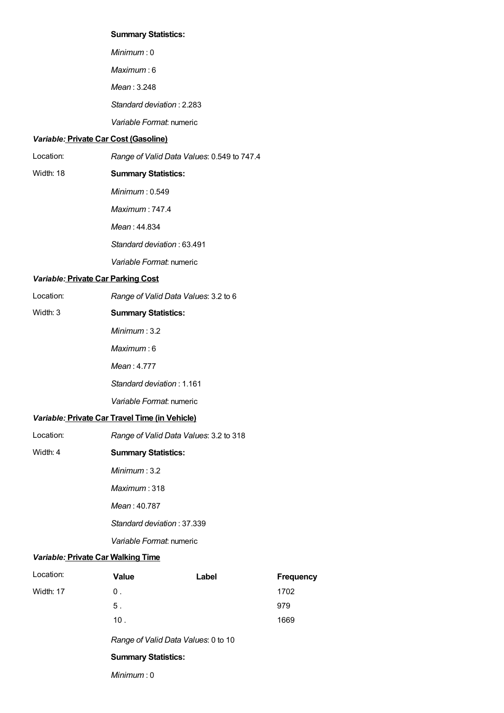#### Summary Statistics:

Minimum : 0 Maximum : 6 Mean : 3.248 Standard deviation : 2.283 Variable Format: numeric

#### Variable: Private Car Cost (Gasoline)

<span id="page-8-0"></span>Location: Range of Valid Data Values: 0.549 to 747.4

#### Width: 18 Summary Statistics:

- Minimum : 0.549
- Maximum : 747.4
- Mean : 44.834
- Standard deviation : 63.491
- Variable Format: numeric

#### Variable: Private Car Parking Cost

Width: 3

Location: Range of Valid Data Values: 3.2 to 6

#### Summary Statistics:

- Minimum : 3.2
- Maximum : 6
- Mean : 4.777
- Standard deviation : 1.161
- Variable Format: numeric

#### Variable: Private Car Travel Time (in Vehicle)

- <span id="page-8-1"></span>Location: Width: 4 Range of Valid Data Values: 3.2 to 318 Summary Statistics:
	- Minimum : 3.2
		- Maximum : 318
		- Mean : 40.787
		- Standard deviation : 37.339
		- Variable Format: numeric

#### Variable: Private Car Walking Time

<span id="page-8-2"></span>

| Location: | <b>Value</b>                        | Label | <b>Frequency</b> |
|-----------|-------------------------------------|-------|------------------|
| Width: 17 | 0.                                  |       | 1702             |
|           | 5.                                  |       | 979              |
|           | 10.                                 |       | 1669             |
|           | Range of Valid Data Values: 0 to 10 |       |                  |
|           | <b>Summary Statistics:</b>          |       |                  |
|           | Minimum:0                           |       |                  |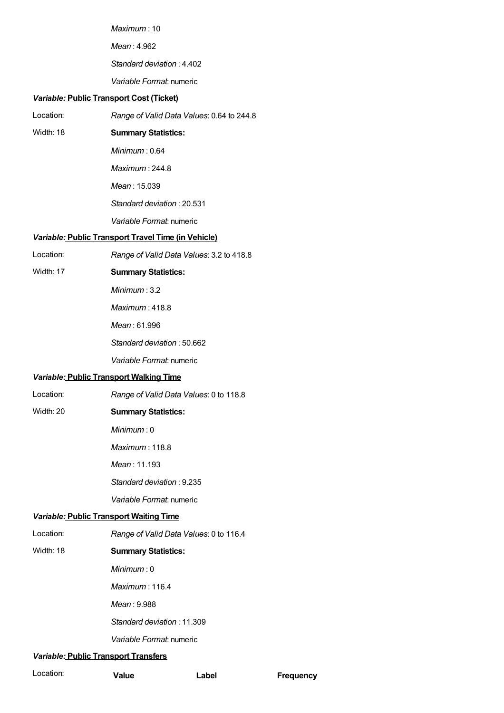Maximum : 10

Mean : 4.962

Standard deviation : 4.402

Variable Format: numeric

#### Variable: Public Transport Cost (Ticket)

- Location: Range of Valid Data Values: 0.64 to 244.8
- Width: 18 Summary Statistics:
	- Minimum : 0.64

Maximum : 244.8

Mean : 15.039

Standard deviation : 20.531

Variable Format: numeric

#### <span id="page-9-0"></span>Variable: Public Transport Travel Time (in Vehicle)

| Location: | Range of Valid Data Values: 3.2 to 418.8 |
|-----------|------------------------------------------|
|-----------|------------------------------------------|

Width: 17

Summary Statistics:

Minimum : 3.2

Maximum : 418.8

Mean : 61.996

Standard deviation : 50.662

Variable Format: numeric

#### <span id="page-9-1"></span>Variable: Public Transport Walking Time

Location: Range of Valid Data Values: 0 to 118.8

#### Width: 20 Summary Statistics:

Minimum : 0

Maximum : 118.8

Mean : 11.193

Standard deviation : 9.235

Variable Format: numeric

#### <span id="page-9-2"></span>Variable: Public Transport Waiting Time

Location: Range of Valid Data Values: 0 to 116.4

#### Width: 18 Summary Statistics:

Minimum : 0

Maximum : 116.4

Mean : 9.988

Standard deviation : 11.309

Variable Format: numeric

#### Variable: Public Transport Transfers

<span id="page-9-3"></span>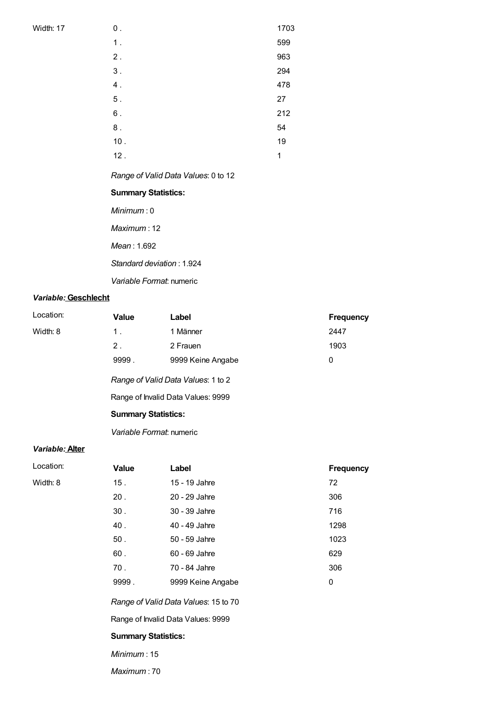**Width: 17** 

| $\boldsymbol{0}$ . | 1703 |
|--------------------|------|
| 1.                 | 599  |
| $2$ .              | 963  |
| $3$ .              | 294  |
| $\boldsymbol{4}$ . | 478  |
| $5$ .              | 27   |
| $6$ .              | 212  |
| $\bf 8$ .          | 54   |
| $10.$              | 19   |
| 12.                | 1    |

<span id="page-10-0"></span>Range of Valid Data Values: 0 to 12

#### Summary Statistics:

Minimum : 0

Maximum : 12

Mean : 1.692

Standard deviation : 1.924

Variable Format: numeric

#### Variable: Geschlecht

<span id="page-10-1"></span>

| Location:                          | <b>Value</b>               | Label                              | <b>Frequency</b> |
|------------------------------------|----------------------------|------------------------------------|------------------|
| Width: 8                           | 1 <sub>1</sub>             | 1 Männer                           | 2447             |
|                                    | $2$ .                      | 2 Frauen                           | 1903             |
|                                    | 9999.                      | 9999 Keine Angabe                  | 0                |
| Range of Valid Data Values: 1 to 2 |                            |                                    |                  |
|                                    |                            | Range of Invalid Data Values: 9999 |                  |
|                                    | <b>Summary Statistics:</b> |                                    |                  |
|                                    |                            |                                    |                  |

Variable Format: numeric

#### Variable: Alter

| Location: | <b>Value</b>    | Label                                | <b>Frequency</b> |
|-----------|-----------------|--------------------------------------|------------------|
| Width: 8  | 15.             | 15 - 19 Jahre                        | 72               |
|           | 20.             | 20 - 29 Jahre                        | 306              |
|           | 30 <sub>1</sub> | 30 - 39 Jahre                        | 716              |
|           | 40.             | 40 - 49 Jahre                        | 1298             |
|           | 50.             | 50 - 59 Jahre                        | 1023             |
|           | 60.             | 60 - 69 Jahre                        | 629              |
|           | 70.             | 70 - 84 Jahre                        | 306              |
|           | 9999.           | 9999 Keine Angabe                    | 0                |
|           |                 | Range of Valid Data Values: 15 to 70 |                  |

<span id="page-10-2"></span>Range of Invalid Data Values: 9999

#### Summary Statistics:

Minimum : 15

Maximum : 70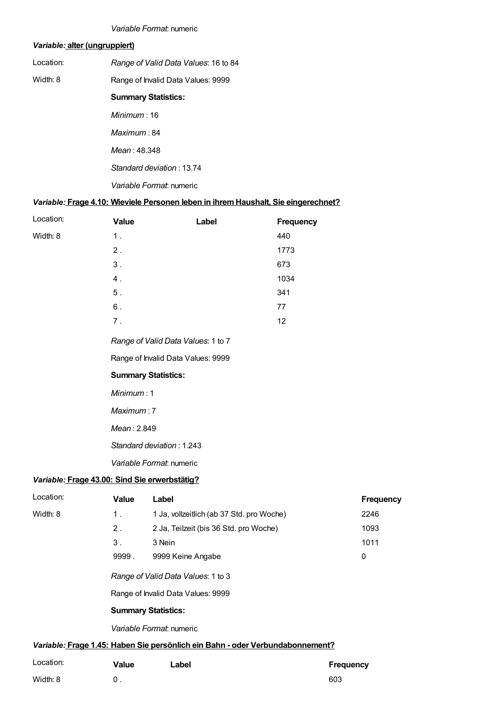#### Variable Format: numeric

#### Variable: alter (ungruppiert)

<span id="page-11-0"></span>

| Location: | Range of Valid Data Values: 16 to 84 |
|-----------|--------------------------------------|
|           |                                      |

Width: 8 Range of Invalid Data Values: 9999

#### Summary Statistics:

Minimum : 16 Maximum : 84 Mean : 48.348 Standard deviation : 13.74 Variable Format: numeric

#### Variable: Frage 4.10: Wieviele Personen leben in ihremHaushalt, Sie eingerechnet?

<span id="page-11-1"></span>

| Location: | <b>Value</b> | Label | <b>Frequency</b> |
|-----------|--------------|-------|------------------|
| Width: 8  | 1.           |       | 440              |
|           | 2.           |       | 1773             |
|           | 3.           |       | 673              |
|           | 4.           |       | 1034             |
|           | $5$ .        |       | 341              |
|           | $6$ .        |       | 77               |
|           | 7.           |       | 12               |
|           |              |       |                  |

Range of Valid Data Values: 1 to 7

Range of Invalid Data Values: 9999

#### Summary Statistics:

Minimum : 1

Maximum : 7

Mean : 2.849

Standard deviation : 1.243

Variable Format: numeric

#### <span id="page-11-2"></span>Variable: Frage 43.00: Sind Sie erwerbstätig?

| Location:                | Value                      | Label                                                                         | <b>Frequency</b> |  |
|--------------------------|----------------------------|-------------------------------------------------------------------------------|------------------|--|
| Width: 8                 | 1.                         | 1 Ja, vollzeitlich (ab 37 Std. pro Woche)                                     | 2246             |  |
|                          | 2 <sub>1</sub>             | 2 Ja, Teilzeit (bis 36 Std. pro Woche)                                        | 1093             |  |
|                          | 3 <sub>1</sub>             | 3 Nein                                                                        | 1011             |  |
|                          | 9999.                      | 9999 Keine Angabe                                                             | 0                |  |
|                          |                            | Range of Valid Data Values: 1 to 3<br>Range of Invalid Data Values: 9999      |                  |  |
|                          | <b>Summary Statistics:</b> |                                                                               |                  |  |
| Variable Format: numeric |                            |                                                                               |                  |  |
|                          |                            | Variable: Frage 1.45: Haben Sie persönlich ein Bahn - oder Verbundabonnement? |                  |  |
| Location:                | Value                      | Label                                                                         | Freauency        |  |

<span id="page-11-3"></span>

| Location: | Value | Label | <b>Frequency</b> |
|-----------|-------|-------|------------------|
| Width: 8  |       |       | 603              |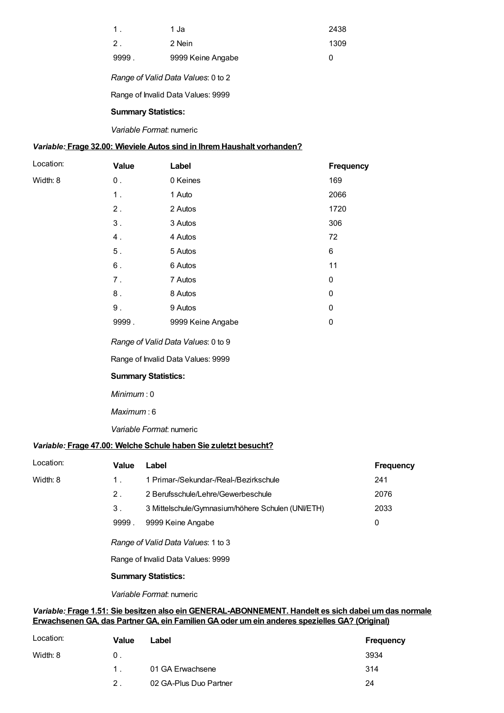| $\mathbf 1$ | 1 Ja              | 2438 |
|-------------|-------------------|------|
| $2$ .       | 2 Nein            | 1309 |
| 9999        | 9999 Keine Angabe |      |

Range of Valid Data Values: 0 to 2

Range of Invalid Data Values: 9999

#### Summary Statistics:

Variable Format: numeric

#### <span id="page-12-0"></span>Variable: Frage 32.00: Wieviele Autos sind in Ihrem Haushalt vorhanden?

| Location: | <b>Value</b> | Label             | <b>Frequency</b> |
|-----------|--------------|-------------------|------------------|
| Width: 8  | $0$ .        | 0 Keines          | 169              |
|           | 1.           | 1 Auto            | 2066             |
|           | 2.           | 2 Autos           | 1720             |
|           | $3$ .        | 3 Autos           | 306              |
|           | 4.           | 4 Autos           | 72               |
|           | $5$ .        | 5 Autos           | 6                |
|           | 6.           | 6 Autos           | 11               |
|           | 7.           | 7 Autos           | 0                |
|           | 8.           | 8 Autos           | 0                |
|           | $9$ .        | 9 Autos           | 0                |
|           | 9999.        | 9999 Keine Angabe | 0                |
|           |              |                   |                  |

<span id="page-12-1"></span>Range of Valid Data Values: 0 to 9

Range of Invalid Data Values: 9999

#### Summary Statistics:

Minimum : 0

Maximum : 6

Variable Format: numeric

#### <span id="page-12-2"></span>Variable: Frage 47.00: Welche Schule haben Sie zuletzt besucht?

| Location: | Value          | Label                                                                                               | <b>Frequency</b> |
|-----------|----------------|-----------------------------------------------------------------------------------------------------|------------------|
| Width: 8  | 1.             | 1 Primar-/Sekundar-/Real-/Bezirkschule                                                              | 241              |
|           | 2 <sub>1</sub> | 2 Berufsschule/Lehre/Gewerbeschule                                                                  | 2076             |
|           | 3.             | 3 Mittelschule/Gymnasium/höhere Schulen (UNI/ETH)                                                   | 2033             |
|           | 9999.          | 9999 Keine Angabe                                                                                   | 0                |
|           |                | Range of Valid Data Values: 1 to 3                                                                  |                  |
|           |                | Range of Invalid Data Values: 9999                                                                  |                  |
|           |                | <b>Summary Statistics:</b>                                                                          |                  |
|           |                | Variable Format: numeric                                                                            |                  |
|           |                | Variable: Erago 1.51: Sie besitzen also ein GENERAL "ARONNEMENT, Handelt es sich dabei um das norm: |                  |

#### <span id="page-12-3"></span>ariable: <u>Frage 1.51: Sie besitzen also ein GENERAL-ABONNEMENT. Handelt es sich dabei um das normale</u> Erwachsenen GA, das Partner GA, ein Familien GAoder umein anderes spezielles GA? (Original)

| Location: | Value          | Label                  | Frequency |
|-----------|----------------|------------------------|-----------|
| Width: 8  | 0 <sup>1</sup> |                        | 3934      |
|           | $1 \quad$      | 01 GA Erwachsene       | 314       |
|           | 2 <sup>1</sup> | 02 GA-Plus Duo Partner | 24        |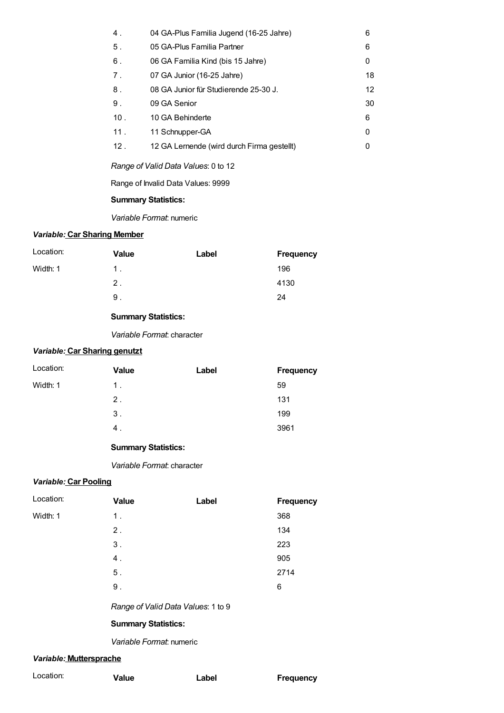| 04 GA-Plus Familia Jugend (16-25 Jahre)    | 6  |
|--------------------------------------------|----|
| 05 GA-Plus Familia Partner                 | 6  |
| 06 GA Familia Kind (bis 15 Jahre)          | 0  |
| 07 GA Junior (16-25 Jahre)                 | 18 |
| 08 GA Junior für Studierende 25-30 J.      | 12 |
| 09 GA Senior                               | 30 |
| 10 GA Behinderte                           | 6  |
| 11 Schnupper-GA                            | 0  |
| 12 GA Lernende (wird durch Firma gestellt) | 0  |
|                                            |    |

Range of Valid Data Values: 0 to 12

Range of Invalid Data Values: 9999

#### Summary Statistics:

Variable Format: numeric

#### Variable: Car Sharing Member

| Location: | Value | Label | <b>Frequency</b> |
|-----------|-------|-------|------------------|
| Width: 1  | 1.    |       | 196              |
|           | 2.    |       | 4130             |
|           | 9.    |       | 24               |

#### Summary Statistics:

Variable Format: character

#### Variable: Car Sharing genutzt

| Location: | Value | Label | <b>Frequency</b> |
|-----------|-------|-------|------------------|
| Width: 1  | 1.    |       | 59               |
|           | 2.    |       | 131              |
|           | $3$ . |       | 199              |
|           | 4.    |       | 3961             |

#### Summary Statistics:

Variable Format: character

#### Variable: Car Pooling

| Location: | <b>Value</b> | Label | <b>Frequency</b> |
|-----------|--------------|-------|------------------|
| Width: 1  | 1.           |       | 368              |
|           | $2$ .        |       | 134              |
|           | $3$ .        |       | 223              |
|           | 4.           |       | 905              |
|           | $5$ .        |       | 2714             |
|           | $9$ .        |       | 6                |
|           |              |       |                  |

Range of Valid Data Values: 1 to 9

#### Summary Statistics:

Variable Format: numeric

#### Variable: Muttersprache

| Location: | <b>Value</b> | Label | <b>Frequency</b> |
|-----------|--------------|-------|------------------|
|           |              |       |                  |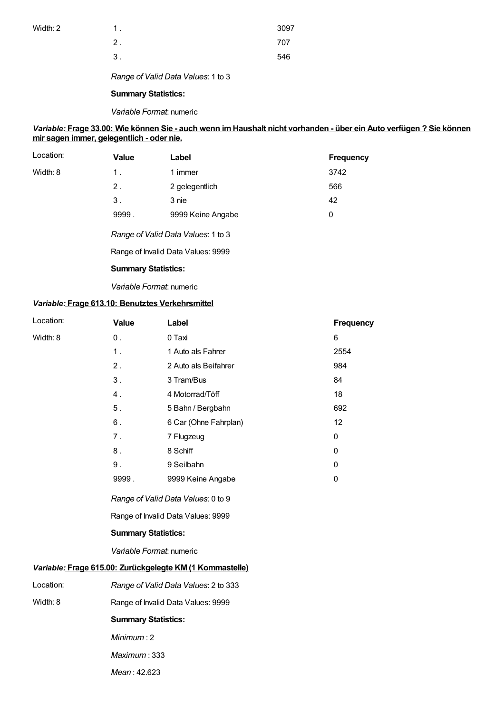| Width: 2 |  |  |  |
|----------|--|--|--|
|----------|--|--|--|

| Width: 2 |                | 3097 |
|----------|----------------|------|
|          | ◠<br><u>.</u>  | 707  |
|          | 3 <sub>1</sub> | 546  |

Range of Valid Data Values: 1 to 3

#### Summary Statistics:

#### Variable Format: numeric

#### Variable: Frage 33.00: Wie können Sie - auch wenn imHaushalt nicht vorhanden - über ein Auto verfügen ? Sie können mir sagen immer, gelegentlich - oder nie.

| Location: | <b>Value</b> | Label                              | <b>Frequency</b> |
|-----------|--------------|------------------------------------|------------------|
| Width: 8  | $1$ .        | 1 immer                            | 3742             |
|           | $2$ .        | 2 gelegentlich                     | 566              |
|           | 3.           | 3 nie                              | 42               |
|           | 9999.        | 9999 Keine Angabe                  | 0                |
|           |              | Range of Valid Data Values: 1 to 3 |                  |

Range of Invalid Data Values: 9999

#### Summary Statistics:

Variable Format: numeric

#### Variable: Frage 613.10: Benutztes Verkehrsmittel

| Location: | Value                                | Label                                                    | Frequency    |  |  |
|-----------|--------------------------------------|----------------------------------------------------------|--------------|--|--|
| Width: 8  | $0$ .                                | 0 Taxi                                                   | 6            |  |  |
|           | 1 <sub>1</sub>                       | 1 Auto als Fahrer                                        | 2554         |  |  |
|           | 2.                                   | 2 Auto als Beifahrer                                     | 984          |  |  |
|           | 3.                                   | 3 Tram/Bus                                               | 84           |  |  |
|           | 4.                                   | 4 Motorrad/Töff                                          | 18           |  |  |
|           | 5.                                   | 5 Bahn / Bergbahn                                        | 692          |  |  |
|           | $6$ .                                | 6 Car (Ohne Fahrplan)                                    | 12           |  |  |
|           | 7.                                   | 7 Flugzeug                                               | $\pmb{0}$    |  |  |
|           | 8.                                   | 8 Schiff                                                 | $\mathbf{0}$ |  |  |
|           | 9.                                   | 9 Seilbahn                                               | 0            |  |  |
|           | 9999.                                | 9999 Keine Angabe                                        | 0            |  |  |
|           |                                      | Range of Valid Data Values: 0 to 9                       |              |  |  |
|           |                                      | Range of Invalid Data Values: 9999                       |              |  |  |
|           | <b>Summary Statistics:</b>           |                                                          |              |  |  |
|           | Variable Format: numeric             |                                                          |              |  |  |
|           |                                      | Variable: Frage 615.00: Zurückgelegte KM (1 Kommastelle) |              |  |  |
| Location: | Range of Valid Data Values: 2 to 333 |                                                          |              |  |  |
| Width: 8  |                                      | Range of Invalid Data Values: 9999                       |              |  |  |
|           | <b>Summary Statistics:</b>           |                                                          |              |  |  |
|           | Minimum: 2                           |                                                          |              |  |  |
|           | Maximum: 333                         |                                                          |              |  |  |
|           | Mean: 42.623                         |                                                          |              |  |  |
|           |                                      |                                                          |              |  |  |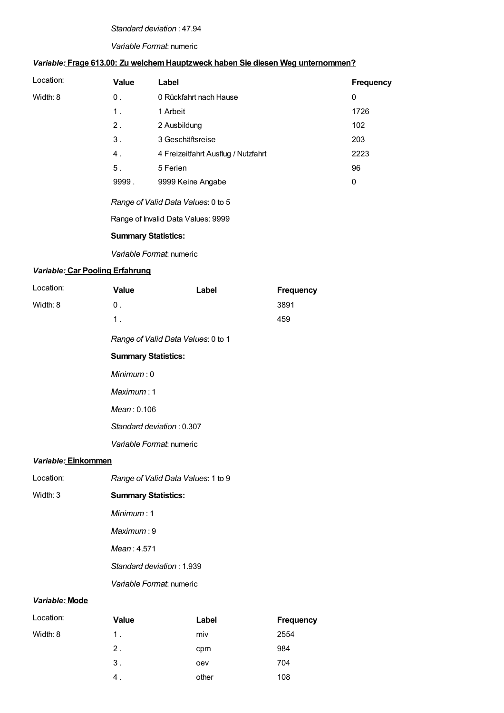#### Standard deviation : 47.94

#### Variable Format: numeric

### Variable: Frage 613.00: Zu welchemHauptzweck haben Sie diesen Weg unternommen?

| Location: | Value          | Label                               | <b>Frequency</b> |
|-----------|----------------|-------------------------------------|------------------|
| Width: 8  | 0.             | 0 Rückfahrt nach Hause              | 0                |
|           | $1$ .          | 1 Arbeit                            | 1726             |
|           | $2$ .          | 2 Ausbildung                        | 102              |
|           | $3$ .          | 3 Geschäftsreise                    | 203              |
|           | 4.             | 4 Freizeitfahrt Ausflug / Nutzfahrt | 2223             |
|           | 5 <sub>1</sub> | 5 Ferien                            | 96               |
|           | 9999.          | 9999 Keine Angabe                   | 0                |
|           |                |                                     |                  |

Range of Valid Data Values: 0 to 5

Range of Invalid Data Values: 9999

#### Summary Statistics:

Variable Format: numeric

#### Variable: Car Pooling Erfahrung

| Location:           | <b>Value</b>                       | Label | <b>Frequency</b> |
|---------------------|------------------------------------|-------|------------------|
| Width: 8            | $0$ .                              |       | 3891             |
|                     | 1.                                 |       | 459              |
|                     | Range of Valid Data Values: 0 to 1 |       |                  |
|                     | <b>Summary Statistics:</b>         |       |                  |
|                     | Minimum:0                          |       |                  |
|                     | Maximum: 1                         |       |                  |
|                     | Mean: 0.106                        |       |                  |
|                     | Standard deviation: 0.307          |       |                  |
|                     | Variable Format: numeric           |       |                  |
| Variable: Einkommen |                                    |       |                  |
| Location:           | Range of Valid Data Values: 1 to 9 |       |                  |
| Width: 3            | <b>Summary Statistics:</b>         |       |                  |
|                     | Minimum:1                          |       |                  |
|                     | Maximum:9                          |       |                  |
|                     | Mean: 4.571                        |       |                  |
|                     | Standard deviation: 1.939          |       |                  |
|                     | Variable Format: numeric           |       |                  |
|                     |                                    |       |                  |

#### Variable: Mode

| Location: | Value | Label | Frequency |
|-----------|-------|-------|-----------|
| Width: 8  | $1$ . | miv   | 2554      |
|           | $2$ . | cpm   | 984       |
|           | 3.    | oev   | 704       |
|           | 4.    | other | 108       |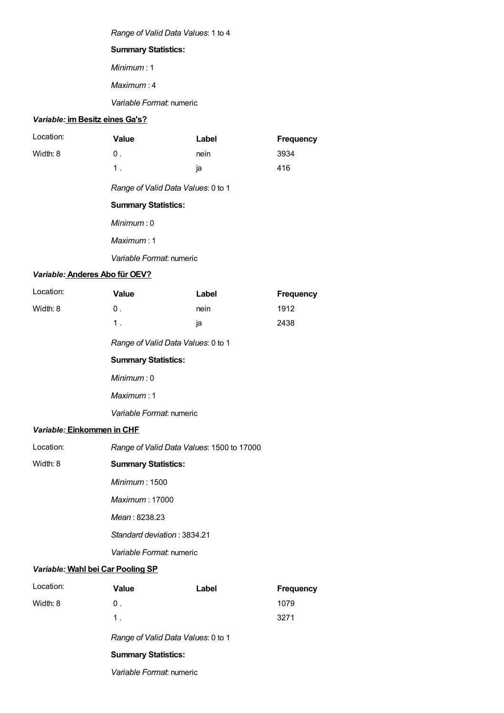Range of Valid Data Values: 1 to 4

#### Summary Statistics:

Minimum : 1

Maximum : 4

Variable Format: numeric

#### Variable: im Besitz eines Ga's?

| Location:                         | <b>Value</b>                              | Label | <b>Frequency</b> |
|-----------------------------------|-------------------------------------------|-------|------------------|
| Width: 8                          | $0$ .                                     | nein  | 3934             |
|                                   | 1.                                        | ja    | 416              |
|                                   | Range of Valid Data Values: 0 to 1        |       |                  |
|                                   | <b>Summary Statistics:</b>                |       |                  |
|                                   | Minimum:0                                 |       |                  |
|                                   | Maximum: 1                                |       |                  |
|                                   | Variable Format: numeric                  |       |                  |
| Variable: Anderes Abo für OEV?    |                                           |       |                  |
| Location:                         | <b>Value</b>                              | Label | <b>Frequency</b> |
| Width: 8                          | $0$ .                                     | nein  | 1912             |
|                                   | 1.                                        | ja    | 2438             |
|                                   | Range of Valid Data Values: 0 to 1        |       |                  |
|                                   | <b>Summary Statistics:</b>                |       |                  |
|                                   | Minimum:0                                 |       |                  |
|                                   | Maximum: 1                                |       |                  |
|                                   | Variable Format: numeric                  |       |                  |
| Variable: Einkommen in CHF        |                                           |       |                  |
| Location:                         | Range of Valid Data Values: 1500 to 17000 |       |                  |
| Width: 8                          | <b>Summary Statistics:</b>                |       |                  |
|                                   | Minimum: 1500                             |       |                  |
|                                   | <i>Maximum</i> : 17000                    |       |                  |
|                                   | Mean: 8238.23                             |       |                  |
|                                   | Standard deviation: 3834.21               |       |                  |
|                                   | Variable Format: numeric                  |       |                  |
| Variable: Wahl bei Car Pooling SP |                                           |       |                  |
| Location:                         | <b>Value</b>                              | Label | <b>Frequency</b> |
| Width: 8                          | $0$ .                                     |       | 1079             |
|                                   | 1.                                        |       | 3271             |
|                                   |                                           |       |                  |

Range of Valid Data Values: 0 to 1

#### Summary Statistics:

Variable Format: numeric